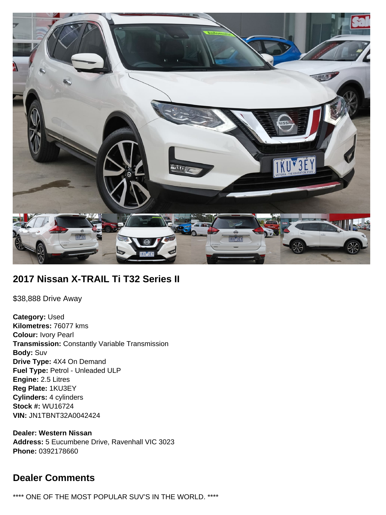

# **2017 Nissan X-TRAIL Ti T32 Series II**

\$38,888 Drive Away

**Category:** Used **Kilometres:** 76077 kms **Colour:** Ivory Pearl **Transmission:** Constantly Variable Transmission **Body:** Suv **Drive Type:** 4X4 On Demand **Fuel Type:** Petrol - Unleaded ULP **Engine:** 2.5 Litres **Reg Plate:** 1KU3EY **Cylinders:** 4 cylinders **Stock #:** WU16724 **VIN:** JN1TBNT32A0042424

**Dealer: Western Nissan Address:** 5 Eucumbene Drive, Ravenhall VIC 3023 **Phone:** 0392178660

# **Dealer Comments**

\*\*\*\* ONE OF THE MOST POPULAR SUV'S IN THE WORLD. \*\*\*\*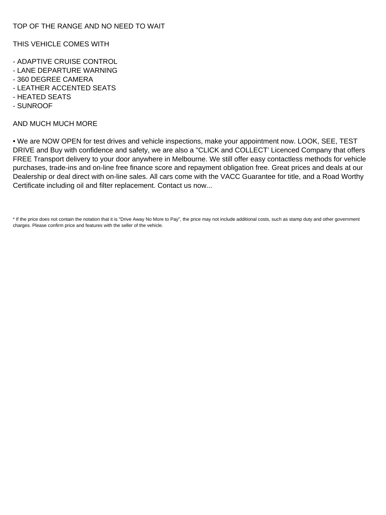THIS VEHICLE COMES WITH

- ADAPTIVE CRUISE CONTROL
- LANE DEPARTURE WARNING
- 360 DEGREE CAMERA
- LEATHER ACCENTED SEATS
- HEATED SEATS
- SUNROOF

### AND MUCH MUCH MORE

• We are NOW OPEN for test drives and vehicle inspections, make your appointment now. LOOK, SEE, TEST DRIVE and Buy with confidence and safety, we are also a "CLICK and COLLECT' Licenced Company that offers FREE Transport delivery to your door anywhere in Melbourne. We still offer easy contactless methods for vehicle purchases, trade-ins and on-line free finance score and repayment obligation free. Great prices and deals at our Dealership or deal direct with on-line sales. All cars come with the VACC Guarantee for title, and a Road Worthy Certificate including oil and filter replacement. Contact us now...

\* If the price does not contain the notation that it is "Drive Away No More to Pay", the price may not include additional costs, such as stamp duty and other government charges. Please confirm price and features with the seller of the vehicle.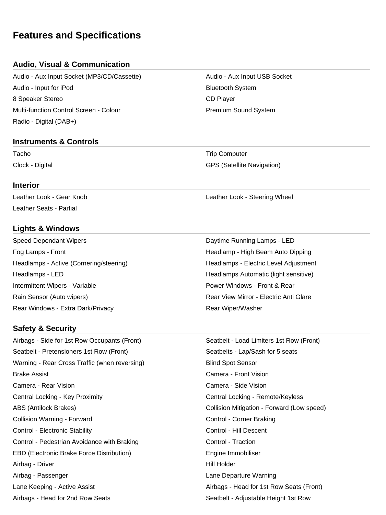# **Features and Specifications**

## **Audio, Visual & Communication**

Audio - Aux Input Socket (MP3/CD/Cassette) Audio - Aux Input USB Socket Audio - Input for iPod **Bluetooth System** 8 Speaker Stereo CD Player Multi-function Control Screen - Colour **Premium Sound System** Premium Sound System Radio - Digital (DAB+)

#### **Instruments & Controls**

#### **Interior**

Leather Seats - Partial

## **Lights & Windows**

Speed Dependant Wipers **Daytime Running Lamps - LED** Fog Lamps - Front Headlamp - High Beam Auto Dipping Headlamps - Active (Cornering/steering) The Adjustment Headlamps - Electric Level Adjustment Headlamps - LED **Headlamps Automatic (light sensitive)** Headlamps Automatic (light sensitive) Intermittent Wipers - Variable **Power Windows - Front & Rear** Rain Sensor (Auto wipers) The Community Rear View Mirror - Electric Anti Glare Rear Windows - Extra Dark/Privacy **Rear Windows** - Extra Dark/Privacy

#### **Safety & Security**

Airbags - Side for 1st Row Occupants (Front) Seatbelt - Load Limiters 1st Row (Front) Seatbelt - Pretensioners 1st Row (Front) Seatbelts - Lap/Sash for 5 seats Warning - Rear Cross Traffic (when reversing) Fig. 5 and Spot Sensor Brake Assist Camera - Front Vision Camera - Rear Vision Camera - Side Vision Central Locking - Key Proximity Central Locking - Remote/Keyless ABS (Antilock Brakes) Collision Mitigation - Forward (Low speed) Collision Warning - Forward Control - Corner Braking Control - Electronic Stability **Control - Electronic Stability** Control - Hill Descent Control - Pedestrian Avoidance with Braking Control - Traction Control - Traction EBD (Electronic Brake Force Distribution) **Engine Immobiliser** Engine Immobiliser Airbag - Driver **Hill Holder** Airbag - Passenger Lane Departure Warning Lane Keeping - Active Assist Attack And Airbags - Head for 1st Row Seats (Front) Airbags - Head for 2nd Row Seats Seatbelt - Adjustable Height 1st Row

Tacho **Trip Computer** Trip Computer Clock - Digital GPS (Satellite Navigation)

Leather Look - Gear Knob **Leather Look - Steering Wheel**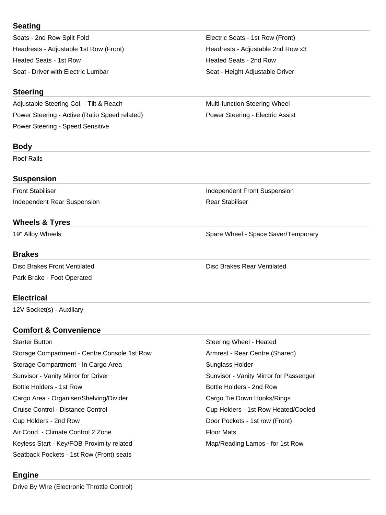## **Seating**

Seats - 2nd Row Split Fold **Electric Seats - 1st Row (Front)** Headrests - Adjustable 1st Row (Front) The Meadrests - Adjustable 2nd Row x3 Heated Seats - 1st Row Heated Seats - 2nd Row Seat - Driver with Electric Lumbar Seat - Height Adjustable Driver

## **Steering**

Adjustable Steering Col. - Tilt & Reach Multi-function Steering Wheel Power Steering - Active (Ratio Speed related) **Power Steering - Electric Assist** Power Steering - Speed Sensitive

# **Body**

Roof Rails

## **Suspension**

Independent Rear Suspension **Rear Stabiliser** Rear Stabiliser

# **Wheels & Tyres**

## **Brakes**

Disc Brakes Front Ventilated **Disc Brakes Rear Ventilated** Disc Brakes Rear Ventilated Park Brake - Foot Operated

# **Electrical**

12V Socket(s) - Auxiliary

# **Comfort & Convenience**

Starter Button Steering Wheel - Heated Storage Compartment - Centre Console 1st Row Armrest - Rear Centre (Shared) Storage Compartment - In Cargo Area Sunglass Holder Sunvisor - Vanity Mirror for Driver Sunvisor - Vanity Mirror for Passenger Bottle Holders - 1st Row **Bottle Holders - 2nd Row** Bottle Holders - 2nd Row Cargo Area - Organiser/Shelving/Divider Cargo Tie Down Hooks/Rings Cruise Control - Distance Control Cup Holders - 1st Row Heated/Cooled Cup Holders - 2nd Row **Door Pockets - 1st row (Front)** Air Cond. - Climate Control 2 Zone Floor Mats Keyless Start - Key/FOB Proximity related Map/Reading Lamps - for 1st Row Seatback Pockets - 1st Row (Front) seats

# **Engine**

Front Stabiliser **Independent Front Suspension** 

19" Alloy Wheels **Spare Wheel - Space Saver/Temporary** Spare Wheel - Space Saver/Temporary

Drive By Wire (Electronic Throttle Control)